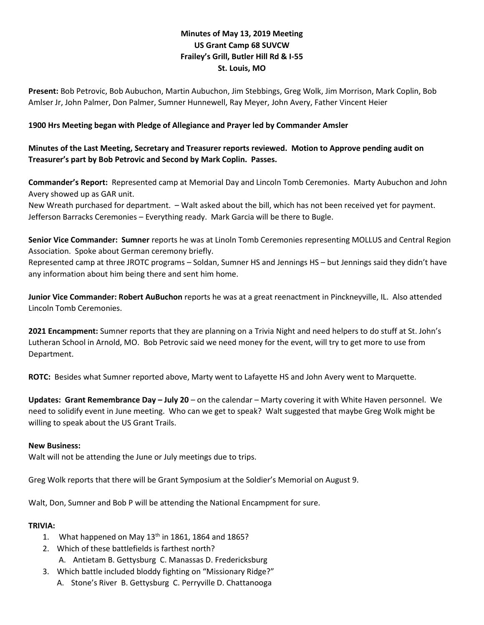# **Minutes of May 13, 2019 Meeting US Grant Camp 68 SUVCW Frailey's Grill, Butler Hill Rd & I-55 St. Louis, MO**

**Present:** Bob Petrovic, Bob Aubuchon, Martin Aubuchon, Jim Stebbings, Greg Wolk, Jim Morrison, Mark Coplin, Bob Amlser Jr, John Palmer, Don Palmer, Sumner Hunnewell, Ray Meyer, John Avery, Father Vincent Heier

### **1900 Hrs Meeting began with Pledge of Allegiance and Prayer led by Commander Amsler**

**Minutes of the Last Meeting, Secretary and Treasurer reports reviewed. Motion to Approve pending audit on Treasurer's part by Bob Petrovic and Second by Mark Coplin. Passes.**

**Commander's Report:** Represented camp at Memorial Day and Lincoln Tomb Ceremonies. Marty Aubuchon and John Avery showed up as GAR unit.

New Wreath purchased for department. – Walt asked about the bill, which has not been received yet for payment. Jefferson Barracks Ceremonies – Everything ready. Mark Garcia will be there to Bugle.

**Senior Vice Commander: Sumner** reports he was at Linoln Tomb Ceremonies representing MOLLUS and Central Region Association. Spoke about German ceremony briefly.

Represented camp at three JROTC programs – Soldan, Sumner HS and Jennings HS – but Jennings said they didn't have any information about him being there and sent him home.

**Junior Vice Commander: Robert AuBuchon** reports he was at a great reenactment in Pinckneyville, IL. Also attended Lincoln Tomb Ceremonies.

**2021 Encampment:** Sumner reports that they are planning on a Trivia Night and need helpers to do stuff at St. John's Lutheran School in Arnold, MO. Bob Petrovic said we need money for the event, will try to get more to use from Department.

**ROTC:** Besides what Sumner reported above, Marty went to Lafayette HS and John Avery went to Marquette.

**Updates: Grant Remembrance Day – July 20** – on the calendar – Marty covering it with White Haven personnel. We need to solidify event in June meeting. Who can we get to speak? Walt suggested that maybe Greg Wolk might be willing to speak about the US Grant Trails.

#### **New Business:**

Walt will not be attending the June or July meetings due to trips.

Greg Wolk reports that there will be Grant Symposium at the Soldier's Memorial on August 9.

Walt, Don, Sumner and Bob P will be attending the National Encampment for sure.

#### **TRIVIA:**

- 1. What happened on May  $13<sup>th</sup>$  in 1861, 1864 and 1865?
- 2. Which of these battlefields is farthest north?
	- A. Antietam B. Gettysburg C. Manassas D. Fredericksburg
- 3. Which battle included bloddy fighting on "Missionary Ridge?"
	- A. Stone's River B. Gettysburg C. Perryville D. Chattanooga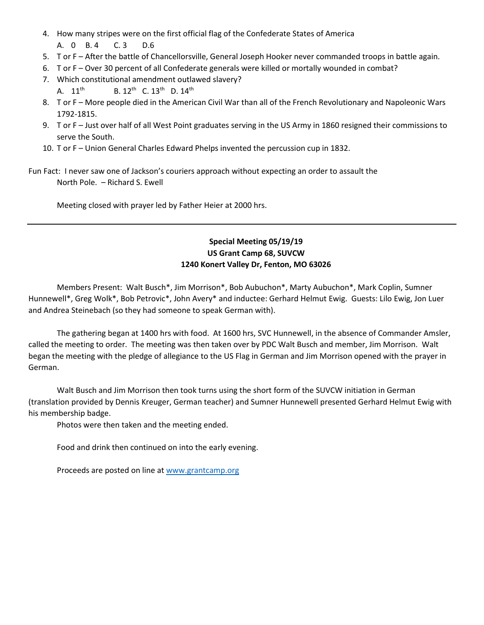- 4. How many stripes were on the first official flag of the Confederate States of America A. 0 B. 4 C. 3 D.6
- 5. T or F After the battle of Chancellorsville, General Joseph Hooker never commanded troops in battle again.
- 6. T or F Over 30 percent of all Confederate generals were killed or mortally wounded in combat?
- 7. Which constitutional amendment outlawed slavery?
	- A. 11<sup>th</sup> B. 12<sup>th</sup> C. 13<sup>th</sup> D. 14<sup>th</sup>
- 8. T or F More people died in the American Civil War than all of the French Revolutionary and Napoleonic Wars 1792-1815.
- 9. T or F Just over half of all West Point graduates serving in the US Army in 1860 resigned their commissions to serve the South.
- 10. T or F Union General Charles Edward Phelps invented the percussion cup in 1832.
- Fun Fact: I never saw one of Jackson's couriers approach without expecting an order to assault the North Pole. – Richard S. Ewell

Meeting closed with prayer led by Father Heier at 2000 hrs.

## **Special Meeting 05/19/19 US Grant Camp 68, SUVCW 1240 Konert Valley Dr, Fenton, MO 63026**

Members Present: Walt Busch\*, Jim Morrison\*, Bob Aubuchon\*, Marty Aubuchon\*, Mark Coplin, Sumner Hunnewell\*, Greg Wolk\*, Bob Petrovic\*, John Avery\* and inductee: Gerhard Helmut Ewig. Guests: Lilo Ewig, Jon Luer and Andrea Steinebach (so they had someone to speak German with).

The gathering began at 1400 hrs with food. At 1600 hrs, SVC Hunnewell, in the absence of Commander Amsler, called the meeting to order. The meeting was then taken over by PDC Walt Busch and member, Jim Morrison. Walt began the meeting with the pledge of allegiance to the US Flag in German and Jim Morrison opened with the prayer in German.

Walt Busch and Jim Morrison then took turns using the short form of the SUVCW initiation in German (translation provided by Dennis Kreuger, German teacher) and Sumner Hunnewell presented Gerhard Helmut Ewig with his membership badge.

Photos were then taken and the meeting ended.

Food and drink then continued on into the early evening.

Proceeds are posted on line at [www.grantcamp.org](http://www.grantcamp.org/)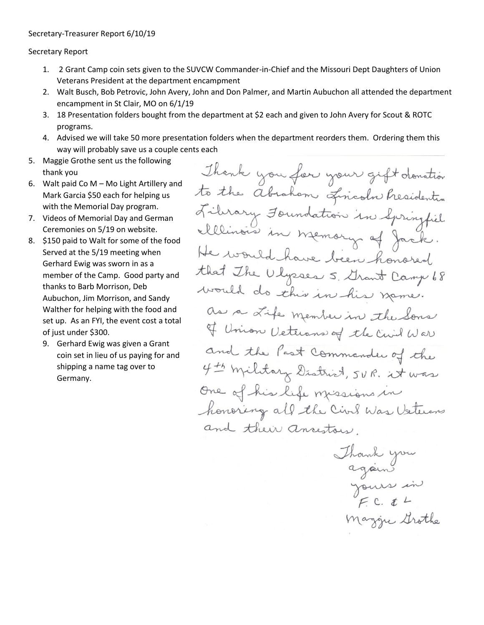Secretary Report

- 1. 2 Grant Camp coin sets given to the SUVCW Commander-in-Chief and the Missouri Dept Daughters of Union Veterans President at the department encampment
- 2. Walt Busch, Bob Petrovic, John Avery, John and Don Palmer, and Martin Aubuchon all attended the department encampment in St Clair, MO on 6/1/19
- 3. 18 Presentation folders bought from the department at \$2 each and given to John Avery for Scout & ROTC programs.
- 4. Advised we will take 50 more presentation folders when the department reorders them. Ordering them this way will probably save us a couple cents each
- 5. Maggie Grothe sent us the following thank you
- 6. Walt paid Co M Mo Light Artillery and Mark Garcia \$50 each for helping us with the Memorial Day program.
- 7. Videos of Memorial Day and German Ceremonies on 5/19 on website.
- 8. \$150 paid to Walt for some of the food Served at the 5/19 meeting when Gerhard Ewig was sworn in as a member of the Camp. Good party and thanks to Barb Morrison, Deb Aubuchon, Jim Morrison, and Sandy Walther for helping with the food and set up. As an FYI, the event cost a total of just under \$300.
	- 9. Gerhard Ewig was given a Grant coin set in lieu of us paying for and shipping a name tag over to Germany.

Thank you for your gift donation to the absolution finish Presidential Library Foundation in Springfiel elllinois in memory of Jack. He would have been honored that The Ulysses 5. Grant Camp 68 would do this in his name. as a Life member in the Sons of Union Veterans of the Civil War and the Past Commander of the 4th military District, SUR. it was One of his life missions in honoring all the Civil Was Usterans and their ancestors.

Thank you<br>again Maggie Grothe